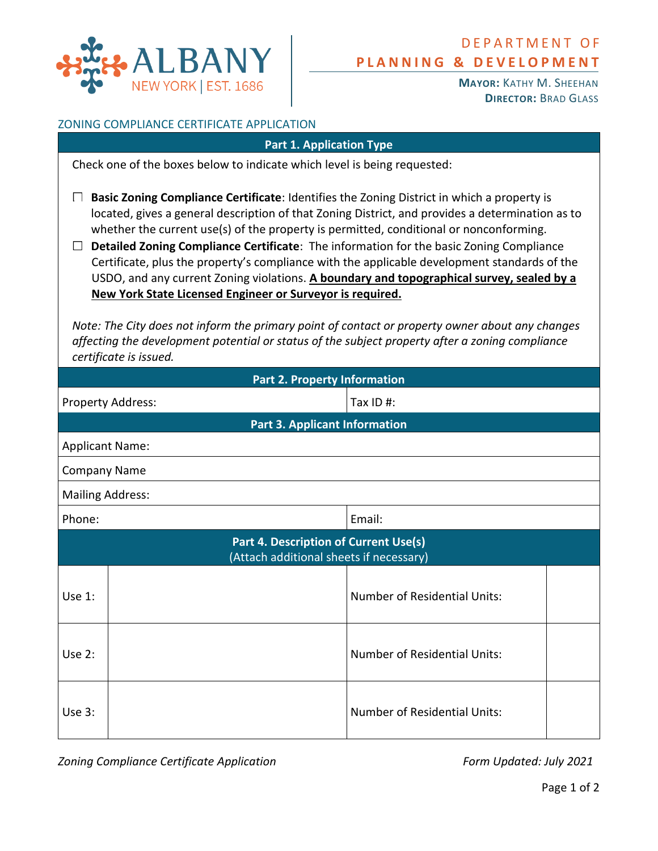

**MAYOR:** KATHY M. SHEEHAN **DIRECTOR:** BRAD GLASS

## ZONING COMPLIANCE CERTIFICATE APPLICATION

| ONING CONIFICANCE CENTIFICATE AFFEICATION                                                                                                                                                                                                                                                                                                                                                                                                                                                                                                                                                                                                          |                                      |                                     |  |  |
|----------------------------------------------------------------------------------------------------------------------------------------------------------------------------------------------------------------------------------------------------------------------------------------------------------------------------------------------------------------------------------------------------------------------------------------------------------------------------------------------------------------------------------------------------------------------------------------------------------------------------------------------------|--------------------------------------|-------------------------------------|--|--|
| <b>Part 1. Application Type</b>                                                                                                                                                                                                                                                                                                                                                                                                                                                                                                                                                                                                                    |                                      |                                     |  |  |
| Check one of the boxes below to indicate which level is being requested:                                                                                                                                                                                                                                                                                                                                                                                                                                                                                                                                                                           |                                      |                                     |  |  |
| Basic Zoning Compliance Certificate: Identifies the Zoning District in which a property is<br>located, gives a general description of that Zoning District, and provides a determination as to<br>whether the current use(s) of the property is permitted, conditional or nonconforming.<br>Detailed Zoning Compliance Certificate: The information for the basic Zoning Compliance<br>ப<br>Certificate, plus the property's compliance with the applicable development standards of the<br>USDO, and any current Zoning violations. A boundary and topographical survey, sealed by a<br>New York State Licensed Engineer or Surveyor is required. |                                      |                                     |  |  |
| Note: The City does not inform the primary point of contact or property owner about any changes<br>affecting the development potential or status of the subject property after a zoning compliance<br>certificate is issued.                                                                                                                                                                                                                                                                                                                                                                                                                       |                                      |                                     |  |  |
| <b>Part 2. Property Information</b>                                                                                                                                                                                                                                                                                                                                                                                                                                                                                                                                                                                                                |                                      |                                     |  |  |
| Property Address:                                                                                                                                                                                                                                                                                                                                                                                                                                                                                                                                                                                                                                  |                                      | Tax ID #:                           |  |  |
|                                                                                                                                                                                                                                                                                                                                                                                                                                                                                                                                                                                                                                                    | <b>Part 3. Applicant Information</b> |                                     |  |  |
| <b>Applicant Name:</b>                                                                                                                                                                                                                                                                                                                                                                                                                                                                                                                                                                                                                             |                                      |                                     |  |  |
| <b>Company Name</b>                                                                                                                                                                                                                                                                                                                                                                                                                                                                                                                                                                                                                                |                                      |                                     |  |  |
| <b>Mailing Address:</b>                                                                                                                                                                                                                                                                                                                                                                                                                                                                                                                                                                                                                            |                                      |                                     |  |  |
| Phone:                                                                                                                                                                                                                                                                                                                                                                                                                                                                                                                                                                                                                                             |                                      | Email:                              |  |  |
| Part 4. Description of Current Use(s)<br>(Attach additional sheets if necessary)                                                                                                                                                                                                                                                                                                                                                                                                                                                                                                                                                                   |                                      |                                     |  |  |
| Use 1:                                                                                                                                                                                                                                                                                                                                                                                                                                                                                                                                                                                                                                             |                                      | <b>Number of Residential Units:</b> |  |  |
| Use 2:                                                                                                                                                                                                                                                                                                                                                                                                                                                                                                                                                                                                                                             |                                      | <b>Number of Residential Units:</b> |  |  |
| Use 3:                                                                                                                                                                                                                                                                                                                                                                                                                                                                                                                                                                                                                                             |                                      | <b>Number of Residential Units:</b> |  |  |
|                                                                                                                                                                                                                                                                                                                                                                                                                                                                                                                                                                                                                                                    |                                      |                                     |  |  |

*Zoning Compliance Certificate Application Form Updated: July 2021*